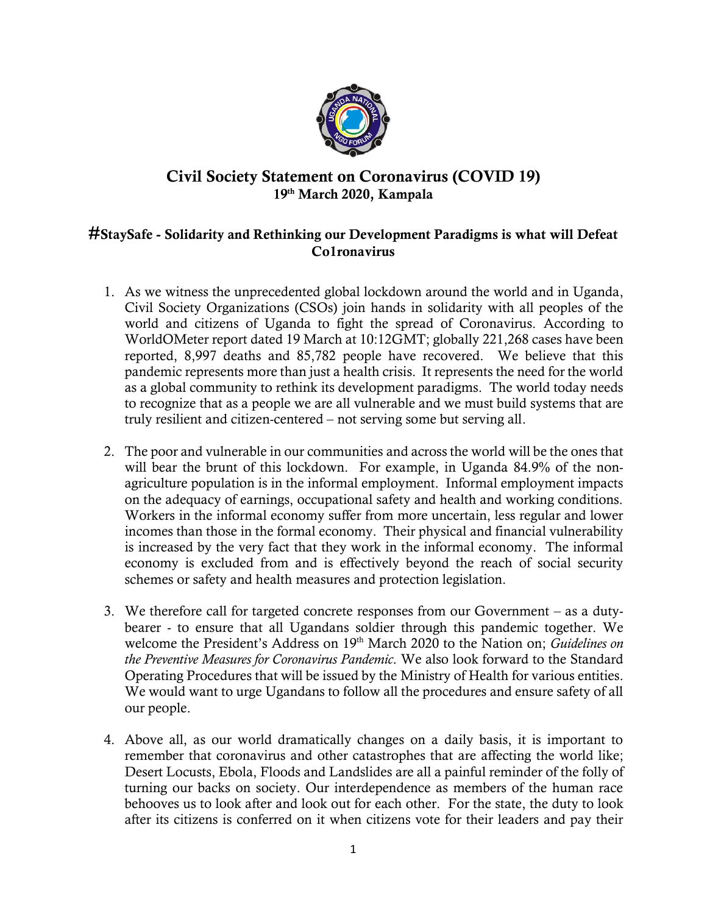

## **Civil Society Statement on Coronavirus (COVID 19) 19th March 2020, Kampala**

## **#StaySafe - Solidarity and Rethinking our Development Paradigms is what will Defeat Co1ronavirus**

- 1. As we witness the unprecedented global lockdown around the world and in Uganda, Civil Society Organizations (CSOs) join hands in solidarity with all peoples of the world and citizens of Uganda to fight the spread of Coronavirus. According to WorldOMeter report dated 19 March at 10:12GMT; globally 221,268 cases have been reported, 8,997 deaths and 85,782 people have recovered. We believe that this pandemic represents more than just a health crisis. It represents the need for the world as a global community to rethink its development paradigms. The world today needs to recognize that as a people we are all vulnerable and we must build systems that are truly resilient and citizen-centered – not serving some but serving all.
- 2. The poor and vulnerable in our communities and across the world will be the ones that will bear the brunt of this lockdown. For example, in Uganda 84.9% of the nonagriculture population is in the informal employment. Informal employment impacts on the adequacy of earnings, occupational safety and health and working conditions. Workers in the informal economy suffer from more uncertain, less regular and lower incomes than those in the formal economy. Their physical and financial vulnerability is increased by the very fact that they work in the informal economy. The informal economy is excluded from and is effectively beyond the reach of social security schemes or safety and health measures and protection legislation.
- 3. We therefore call for targeted concrete responses from our Government as a dutybearer - to ensure that all Ugandans soldier through this pandemic together. We welcome the President's Address on 19th March 2020 to the Nation on; *Guidelines on the Preventive Measures for Coronavirus Pandemic*. We also look forward to the Standard Operating Procedures that will be issued by the Ministry of Health for various entities. We would want to urge Ugandans to follow all the procedures and ensure safety of all our people.
- 4. Above all, as our world dramatically changes on a daily basis, it is important to remember that coronavirus and other catastrophes that are affecting the world like; Desert Locusts, Ebola, Floods and Landslides are all a painful reminder of the folly of turning our backs on society. Our interdependence as members of the human race behooves us to look after and look out for each other. For the state, the duty to look after its citizens is conferred on it when citizens vote for their leaders and pay their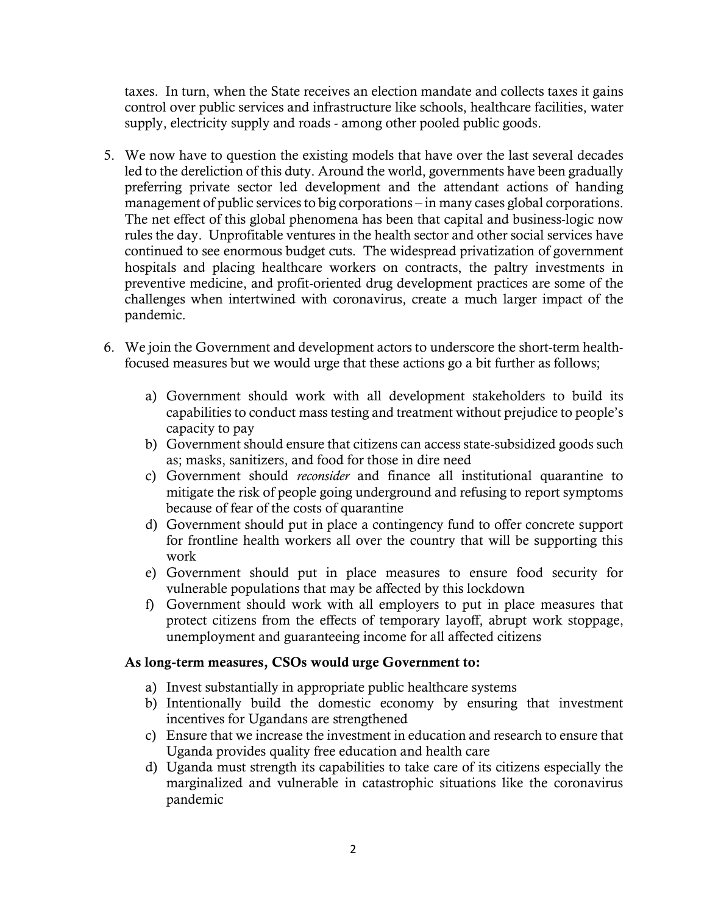taxes. In turn, when the State receives an election mandate and collects taxes it gains control over public services and infrastructure like schools, healthcare facilities, water supply, electricity supply and roads - among other pooled public goods.

- 5. We now have to question the existing models that have over the last several decades led to the dereliction of this duty. Around the world, governments have been gradually preferring private sector led development and the attendant actions of handing management of public services to big corporations – in many cases global corporations. The net effect of this global phenomena has been that capital and business-logic now rules the day. Unprofitable ventures in the health sector and other social services have continued to see enormous budget cuts. The widespread privatization of government hospitals and placing healthcare workers on contracts, the paltry investments in preventive medicine, and profit-oriented drug development practices are some of the challenges when intertwined with coronavirus, create a much larger impact of the pandemic.
- 6. We join the Government and development actors to underscore the short-term healthfocused measures but we would urge that these actions go a bit further as follows;
	- a) Government should work with all development stakeholders to build its capabilities to conduct mass testing and treatment without prejudice to people's capacity to pay
	- b) Government should ensure that citizens can access state-subsidized goods such as; masks, sanitizers, and food for those in dire need
	- c) Government should *reconsider* and finance all institutional quarantine to mitigate the risk of people going underground and refusing to report symptoms because of fear of the costs of quarantine
	- d) Government should put in place a contingency fund to offer concrete support for frontline health workers all over the country that will be supporting this work
	- e) Government should put in place measures to ensure food security for vulnerable populations that may be affected by this lockdown
	- f) Government should work with all employers to put in place measures that protect citizens from the effects of temporary layoff, abrupt work stoppage, unemployment and guaranteeing income for all affected citizens

## **As long-term measures, CSOs would urge Government to:**

- a) Invest substantially in appropriate public healthcare systems
- b) Intentionally build the domestic economy by ensuring that investment incentives for Ugandans are strengthened
- c) Ensure that we increase the investment in education and research to ensure that Uganda provides quality free education and health care
- d) Uganda must strength its capabilities to take care of its citizens especially the marginalized and vulnerable in catastrophic situations like the coronavirus pandemic